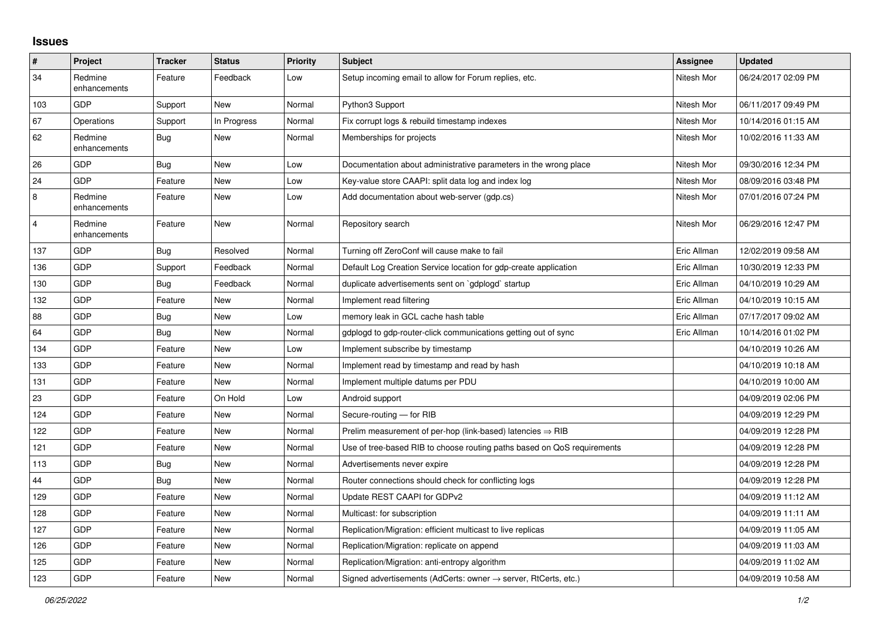## **Issues**

| #              | Project                 | <b>Tracker</b> | <b>Status</b> | <b>Priority</b> | <b>Subject</b>                                                             | Assignee    | <b>Updated</b>      |
|----------------|-------------------------|----------------|---------------|-----------------|----------------------------------------------------------------------------|-------------|---------------------|
| 34             | Redmine<br>enhancements | Feature        | Feedback      | Low             | Setup incoming email to allow for Forum replies, etc.                      | Nitesh Mor  | 06/24/2017 02:09 PM |
| 103            | GDP                     | Support        | <b>New</b>    | Normal          | Python3 Support                                                            | Nitesh Mor  | 06/11/2017 09:49 PM |
| 67             | Operations              | Support        | In Progress   | Normal          | Fix corrupt logs & rebuild timestamp indexes                               | Nitesh Mor  | 10/14/2016 01:15 AM |
| 62             | Redmine<br>enhancements | <b>Bug</b>     | <b>New</b>    | Normal          | Memberships for projects                                                   | Nitesh Mor  | 10/02/2016 11:33 AM |
| 26             | GDP                     | <b>Bug</b>     | <b>New</b>    | Low             | Documentation about administrative parameters in the wrong place           | Nitesh Mor  | 09/30/2016 12:34 PM |
| 24             | GDP                     | Feature        | <b>New</b>    | Low             | Key-value store CAAPI: split data log and index log                        | Nitesh Mor  | 08/09/2016 03:48 PM |
| 8              | Redmine<br>enhancements | Feature        | New           | Low             | Add documentation about web-server (gdp.cs)                                | Nitesh Mor  | 07/01/2016 07:24 PM |
| $\overline{4}$ | Redmine<br>enhancements | Feature        | New           | Normal          | Repository search                                                          | Nitesh Mor  | 06/29/2016 12:47 PM |
| 137            | GDP                     | Bug            | Resolved      | Normal          | Turning off ZeroConf will cause make to fail                               | Eric Allman | 12/02/2019 09:58 AM |
| 136            | GDP                     | Support        | Feedback      | Normal          | Default Log Creation Service location for gdp-create application           | Eric Allman | 10/30/2019 12:33 PM |
| 130            | GDP                     | <b>Bug</b>     | Feedback      | Normal          | duplicate advertisements sent on `gdplogd` startup                         | Eric Allman | 04/10/2019 10:29 AM |
| 132            | GDP                     | Feature        | New           | Normal          | Implement read filtering                                                   | Eric Allman | 04/10/2019 10:15 AM |
| 88             | GDP                     | Bug            | <b>New</b>    | Low             | memory leak in GCL cache hash table                                        | Eric Allman | 07/17/2017 09:02 AM |
| 64             | GDP                     | <b>Bug</b>     | New           | Normal          | gdplogd to gdp-router-click communications getting out of sync             | Eric Allman | 10/14/2016 01:02 PM |
| 134            | GDP                     | Feature        | <b>New</b>    | Low             | Implement subscribe by timestamp                                           |             | 04/10/2019 10:26 AM |
| 133            | GDP                     | Feature        | <b>New</b>    | Normal          | Implement read by timestamp and read by hash                               |             | 04/10/2019 10:18 AM |
| 131            | GDP                     | Feature        | New           | Normal          | Implement multiple datums per PDU                                          |             | 04/10/2019 10:00 AM |
| 23             | GDP                     | Feature        | On Hold       | Low             | Android support                                                            |             | 04/09/2019 02:06 PM |
| 124            | GDP                     | Feature        | <b>New</b>    | Normal          | Secure-routing - for RIB                                                   |             | 04/09/2019 12:29 PM |
| 122            | GDP                     | Feature        | <b>New</b>    | Normal          | Prelim measurement of per-hop (link-based) latencies $\Rightarrow$ RIB     |             | 04/09/2019 12:28 PM |
| 121            | GDP                     | Feature        | <b>New</b>    | Normal          | Use of tree-based RIB to choose routing paths based on QoS requirements    |             | 04/09/2019 12:28 PM |
| 113            | GDP                     | <b>Bug</b>     | <b>New</b>    | Normal          | Advertisements never expire                                                |             | 04/09/2019 12:28 PM |
| 44             | GDP                     | <b>Bug</b>     | <b>New</b>    | Normal          | Router connections should check for conflicting logs                       |             | 04/09/2019 12:28 PM |
| 129            | GDP                     | Feature        | <b>New</b>    | Normal          | Update REST CAAPI for GDPv2                                                |             | 04/09/2019 11:12 AM |
| 128            | GDP                     | Feature        | <b>New</b>    | Normal          | Multicast: for subscription                                                |             | 04/09/2019 11:11 AM |
| 127            | GDP                     | Feature        | <b>New</b>    | Normal          | Replication/Migration: efficient multicast to live replicas                |             | 04/09/2019 11:05 AM |
| 126            | GDP                     | Feature        | New           | Normal          | Replication/Migration: replicate on append                                 |             | 04/09/2019 11:03 AM |
| 125            | GDP                     | Feature        | <b>New</b>    | Normal          | Replication/Migration: anti-entropy algorithm                              |             | 04/09/2019 11:02 AM |
| 123            | GDP                     | Feature        | <b>New</b>    | Normal          | Signed advertisements (AdCerts: owner $\rightarrow$ server, RtCerts, etc.) |             | 04/09/2019 10:58 AM |